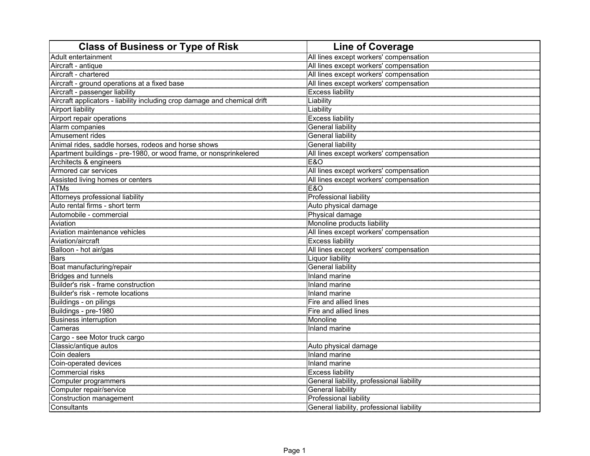| <b>Class of Business or Type of Risk</b>                                  | <b>Line of Coverage</b>                       |
|---------------------------------------------------------------------------|-----------------------------------------------|
| Adult entertainment                                                       | All lines except workers' compensation        |
| Aircraft - antique                                                        | All lines except workers' compensation        |
| Aircraft - chartered                                                      | All lines except workers' compensation        |
| Aircraft - ground operations at a fixed base                              | All lines except workers' compensation        |
| Aircraft - passenger liability                                            | <b>Excess liability</b>                       |
| Aircraft applicators - liability including crop damage and chemical drift | Liability                                     |
| <b>Airport liability</b>                                                  | Liability                                     |
| Airport repair operations                                                 | <b>Excess liability</b>                       |
| Alarm companies                                                           | <b>General liability</b>                      |
| Amusement rides                                                           | <b>General liability</b>                      |
| Animal rides, saddle horses, rodeos and horse shows                       | General liability                             |
| Apartment buildings - pre-1980, or wood frame, or nonsprinkelered         | All lines except workers' compensation<br>E&O |
| Architects & engineers                                                    |                                               |
| Armored car services                                                      | All lines except workers' compensation        |
| Assisted living homes or centers                                          | All lines except workers' compensation        |
| <b>ATMs</b>                                                               | <b>E&amp;O</b>                                |
| Attorneys professional liability                                          | Professional liability                        |
| Auto rental firms - short term                                            | Auto physical damage                          |
| Automobile - commercial                                                   | Physical damage                               |
| Aviation                                                                  | Monoline products liability                   |
| Aviation maintenance vehicles                                             | All lines except workers' compensation        |
| Aviation/aircraft                                                         | <b>Excess liability</b>                       |
| Balloon - hot air/gas                                                     | All lines except workers' compensation        |
| Bars                                                                      | Liquor liability                              |
| Boat manufacturing/repair                                                 | General liability                             |
| Bridges and tunnels                                                       | Inland marine                                 |
| Builder's risk - frame construction                                       | Inland marine                                 |
| Builder's risk - remote locations                                         | Inland marine                                 |
| Buildings - on pilings                                                    | Fire and allied lines                         |
| Buildings - pre-1980                                                      | Fire and allied lines                         |
| <b>Business interruption</b>                                              | Monoline                                      |
| Cameras                                                                   | Inland marine                                 |
| Cargo - see Motor truck cargo                                             |                                               |
| Classic/antique autos                                                     | Auto physical damage                          |
| Coin dealers                                                              | Inland marine                                 |
| Coin-operated devices                                                     | Inland marine                                 |
| Commercial risks                                                          | <b>Excess liability</b>                       |
| Computer programmers                                                      | General liability, professional liability     |
| Computer repair/service                                                   | General liability                             |
| Construction management                                                   | Professional liability                        |
| Consultants                                                               | General liability, professional liability     |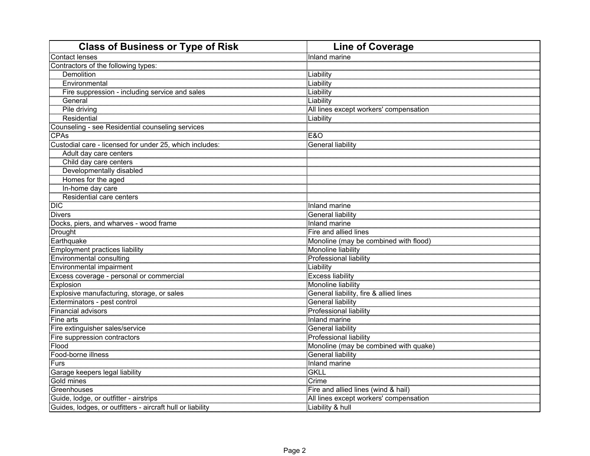| <b>Class of Business or Type of Risk</b>                   | <b>Line of Coverage</b>                |
|------------------------------------------------------------|----------------------------------------|
| <b>Contact lenses</b>                                      | Inland marine                          |
| Contractors of the following types:                        |                                        |
| Demolition                                                 | <b>Liability</b>                       |
| <b>Environmental</b>                                       | Liability                              |
| Fire suppression - including service and sales             | Liability                              |
| General                                                    | Liability                              |
| Pile driving                                               | All lines except workers' compensation |
| Residential                                                | Liability                              |
| Counseling - see Residential counseling services           |                                        |
| <b>CPAs</b>                                                | <b>E&amp;O</b>                         |
| Custodial care - licensed for under 25, which includes:    | General liability                      |
| Adult day care centers                                     |                                        |
| Child day care centers                                     |                                        |
| Developmentally disabled                                   |                                        |
| Homes for the aged                                         |                                        |
| In-home day care                                           |                                        |
| Residential care centers                                   |                                        |
| <b>DIC</b>                                                 | Inland marine                          |
| <b>Divers</b>                                              | General liability                      |
| Docks, piers, and wharves - wood frame                     | Inland marine                          |
| Drought                                                    | Fire and allied lines                  |
| Earthquake                                                 | Monoline (may be combined with flood)  |
| <b>Employment practices liability</b>                      | Monoline liability                     |
| <b>Environmental consulting</b>                            | <b>Professional liability</b>          |
| <b>Environmental impairment</b>                            | Liability                              |
| Excess coverage - personal or commercial                   | Excess liability                       |
| Explosion                                                  | Monoline liability                     |
| Explosive manufacturing, storage, or sales                 | General liability, fire & allied lines |
| Exterminators - pest control                               | General liability                      |
| Financial advisors                                         | <b>Professional liability</b>          |
| Fine arts                                                  | Inland marine                          |
| Fire extinguisher sales/service                            | General liability                      |
| Fire suppression contractors                               | Professional liability                 |
| <b>Flood</b><br>Food-borne illness                         | Monoline (may be combined with quake)  |
|                                                            | General liability                      |
| Furs<br><u>.</u><br>Garage keepers legal liability         | Inland marine                          |
|                                                            | <b>GKLL</b><br>Crime                   |
| Gold mines                                                 |                                        |
| Greenhouses                                                | Fire and allied lines (wind & hail)    |
| Guide, lodge, or outfitter - airstrips                     | All lines except workers' compensation |
| Guides, lodges, or outfitters - aircraft hull or liability | Liability & hull                       |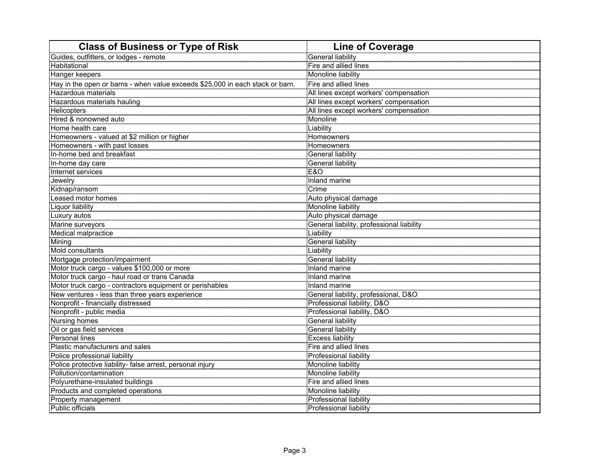| <b>Class of Business or Type of Risk</b>                                                    | <b>Line of Coverage</b>                   |
|---------------------------------------------------------------------------------------------|-------------------------------------------|
| Guides, outfitters, or lodges - remote                                                      | General liability                         |
| Habitational                                                                                | Fire and allied lines                     |
| Hanger keepers                                                                              | Monoline liability                        |
| Hay in the open or barns - when value exceeds \$25,000 in each stack or barn.               | Fire and allied lines                     |
| Hazardous materials                                                                         | All lines except workers' compensation    |
| Hazardous materials hauling                                                                 | All lines except workers' compensation    |
| Helicopters<br>Helicopters<br>Hired & nonowned auto                                         | All lines except workers' compensation    |
|                                                                                             | Monoline                                  |
| Home health care                                                                            | Liability                                 |
| Homeowners - valued at \$2 million or higher                                                | Homeowners                                |
| Homeowners - with past losses                                                               | Homeowners                                |
| In-home bed and breakfast                                                                   | <b>General liability</b>                  |
| In-home day care                                                                            | General liability                         |
| Internet services                                                                           | E&O                                       |
| Jewelry                                                                                     | Inland marine                             |
| Kidnap/ransom                                                                               | Crime                                     |
| Leased motor homes                                                                          | Auto physical damage                      |
| Liquor liability                                                                            | Monoline liability                        |
| Luxury autos                                                                                | Auto physical damage                      |
| Marine surveyors                                                                            | General liability, professional liability |
| Medical malpractice                                                                         | Liability                                 |
| Mining                                                                                      | Luability<br>General liability            |
| Mold consultants                                                                            | Liability                                 |
| Mortgage protection/impairment                                                              | <b>General liability</b>                  |
| Motor truck cargo - values \$100,000 or more                                                | Inland marine                             |
| Motor truck cargo - haul road or trans Canada                                               | Inland marine                             |
| Motor truck cargo - contractors equipment or perishables                                    | Inland marine                             |
| New ventures - less than three years experience                                             | General liability, professional, D&O      |
| Nonprofit - financially distressed                                                          | Professional liability, D&O               |
| Nonprofit - public media                                                                    | Professional liability, D&O               |
| <b>Nursing homes</b>                                                                        | General liability                         |
| Oil or gas field services                                                                   | General liability                         |
| Personal lines                                                                              | <b>Excess liability</b>                   |
| Plastic manufacturers and sales                                                             | Fire and allied lines                     |
| Police professional liability<br>Police protective liability- false arrest, personal injury | Professional liability                    |
|                                                                                             | Monoline liability                        |
| Pollution/contamination                                                                     | Monoline liability                        |
| Polyurethane-insulated buildings                                                            | Fire and allied lines                     |
| Products and completed operations                                                           | Monoline liability                        |
| Property management                                                                         | <b>Professional liability</b>             |
| Public officials                                                                            | <b>Professional liability</b>             |